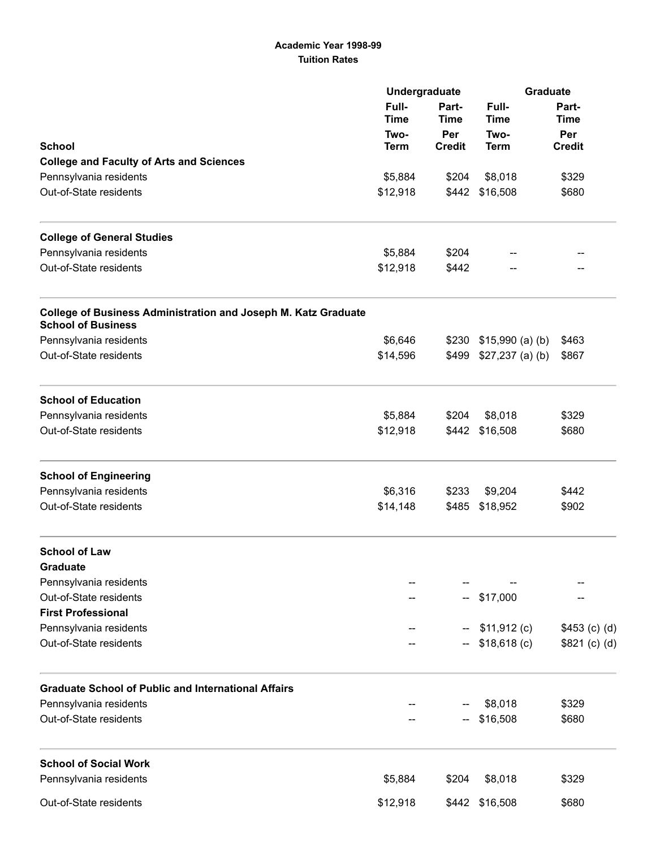## Academic Year 1998-99 Tuition Rates

|                                                                                                    | Undergraduate                |                      | <b>Graduate</b>                             |                                              |                                                 |             |               |
|----------------------------------------------------------------------------------------------------|------------------------------|----------------------|---------------------------------------------|----------------------------------------------|-------------------------------------------------|-------------|---------------|
|                                                                                                    | Full-<br><b>Time</b><br>Two- | Part-<br>Time<br>Per | Full-<br><b>Time</b><br>Two-<br><b>Term</b> | Part-<br><b>Time</b><br>Per<br><b>Credit</b> |                                                 |             |               |
|                                                                                                    |                              |                      |                                             |                                              | <b>School</b>                                   | <b>Term</b> | <b>Credit</b> |
|                                                                                                    |                              |                      |                                             |                                              | <b>College and Faculty of Arts and Sciences</b> |             |               |
| Pennsylvania residents                                                                             | \$5,884                      | \$204                |                                             |                                              | \$8,018                                         | \$329       |               |
| Out-of-State residents                                                                             | \$12,918                     | \$442                |                                             |                                              | \$16,508                                        | \$680       |               |
| <b>College of General Studies</b>                                                                  |                              |                      |                                             |                                              |                                                 |             |               |
| Pennsylvania residents                                                                             | \$5,884                      | \$204                |                                             |                                              |                                                 |             |               |
| Out-of-State residents                                                                             | \$12,918                     | \$442                |                                             |                                              |                                                 |             |               |
| <b>College of Business Administration and Joseph M. Katz Graduate</b><br><b>School of Business</b> |                              |                      |                                             |                                              |                                                 |             |               |
| Pennsylvania residents                                                                             | \$6,646                      |                      | $$230$ $$15,990$ (a) (b)                    | \$463                                        |                                                 |             |               |
| Out-of-State residents                                                                             | \$14,596                     | \$499                | $$27,237$ (a) (b)                           | \$867                                        |                                                 |             |               |
| <b>School of Education</b>                                                                         |                              |                      |                                             |                                              |                                                 |             |               |
| Pennsylvania residents                                                                             | \$5,884                      | \$204                | \$8,018                                     | \$329                                        |                                                 |             |               |
| Out-of-State residents                                                                             | \$12,918                     |                      | \$442 \$16,508                              | \$680                                        |                                                 |             |               |
| <b>School of Engineering</b>                                                                       |                              |                      |                                             |                                              |                                                 |             |               |
| Pennsylvania residents                                                                             | \$6,316                      | \$233                | \$9,204                                     | \$442                                        |                                                 |             |               |
| Out-of-State residents                                                                             | \$14,148                     | \$485                | \$18,952                                    | \$902                                        |                                                 |             |               |
| <b>School of Law</b>                                                                               |                              |                      |                                             |                                              |                                                 |             |               |
| Graduate                                                                                           |                              |                      |                                             |                                              |                                                 |             |               |
| Pennsylvania residents                                                                             |                              |                      |                                             |                                              |                                                 |             |               |
| Out-of-State residents                                                                             |                              |                      | $-$ \$17,000                                |                                              |                                                 |             |               |
| <b>First Professional</b>                                                                          |                              |                      |                                             |                                              |                                                 |             |               |
| Pennsylvania residents                                                                             |                              |                      | \$11,912 (c)                                | $$453$ (c) (d)                               |                                                 |             |               |
| Out-of-State residents                                                                             |                              |                      | $$18,618$ (c)                               | \$821 (c) (d)                                |                                                 |             |               |
| <b>Graduate School of Public and International Affairs</b>                                         |                              |                      |                                             |                                              |                                                 |             |               |
| Pennsylvania residents                                                                             |                              |                      | \$8,018                                     | \$329                                        |                                                 |             |               |
| Out-of-State residents                                                                             |                              |                      | \$16,508                                    | \$680                                        |                                                 |             |               |
| <b>School of Social Work</b>                                                                       |                              |                      |                                             |                                              |                                                 |             |               |
| Pennsylvania residents                                                                             | \$5,884                      | \$204                | \$8,018                                     | \$329                                        |                                                 |             |               |
| Out-of-State residents                                                                             | \$12,918                     |                      | \$442 \$16,508                              | \$680                                        |                                                 |             |               |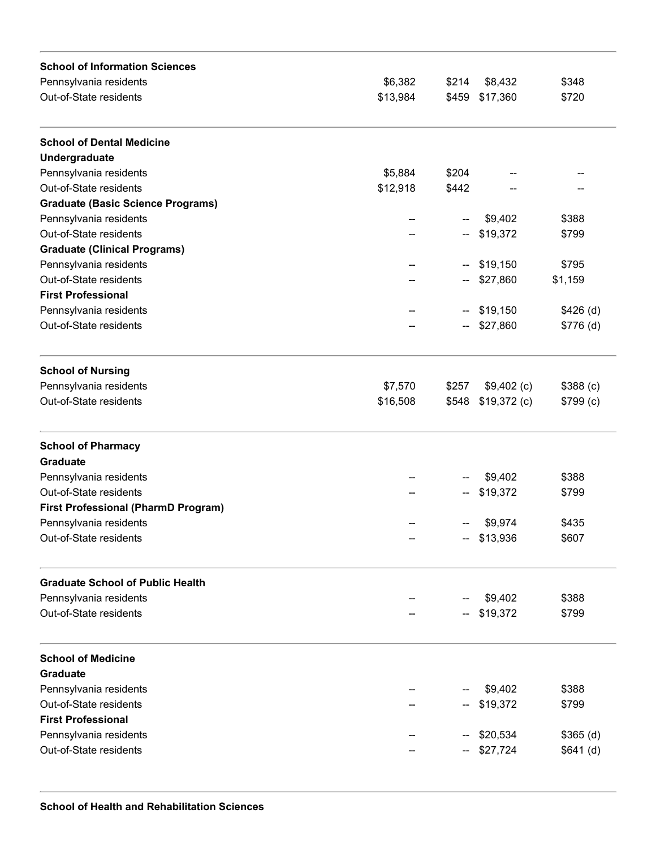| \$6,382<br>Pennsylvania residents<br>\$214<br>\$8,432<br>\$348<br>Out-of-State residents<br>\$13,984<br>\$459 \$17,360<br>\$720<br>\$5,884<br>\$204<br>\$12,918<br>\$442<br>\$9,402<br>\$388<br>--<br>\$19,372<br>\$799<br>\$19,150<br>\$795<br>--<br>\$27,860<br>\$1,159<br>\$19,150<br>$$426$ (d)<br>н.<br>\$27,860<br>\$776(d)<br>\$7,570<br>\$257<br>$$9,402$ (c)<br>\$388(c)<br>\$548<br>\$19,372(c)<br>\$799(c)<br>\$16,508<br>\$9,402<br>\$388<br>Pennsylvania residents<br>\$19,372<br>\$799<br><b>First Professional (PharmD Program)</b><br>Pennsylvania residents<br>\$9,974<br>\$435<br>-- \$13,936<br>\$607<br>\$9,402<br>\$388<br>\$19,372<br>\$799<br>\$9,402<br>\$388<br>\$19,372<br>\$799<br>\$20,534<br>\$365(d)<br>\$27,724<br>\$641(d) | <b>School of Information Sciences</b>    |  |  |  |
|------------------------------------------------------------------------------------------------------------------------------------------------------------------------------------------------------------------------------------------------------------------------------------------------------------------------------------------------------------------------------------------------------------------------------------------------------------------------------------------------------------------------------------------------------------------------------------------------------------------------------------------------------------------------------------------------------------------------------------------------------------|------------------------------------------|--|--|--|
|                                                                                                                                                                                                                                                                                                                                                                                                                                                                                                                                                                                                                                                                                                                                                            |                                          |  |  |  |
|                                                                                                                                                                                                                                                                                                                                                                                                                                                                                                                                                                                                                                                                                                                                                            |                                          |  |  |  |
|                                                                                                                                                                                                                                                                                                                                                                                                                                                                                                                                                                                                                                                                                                                                                            | <b>School of Dental Medicine</b>         |  |  |  |
|                                                                                                                                                                                                                                                                                                                                                                                                                                                                                                                                                                                                                                                                                                                                                            | Undergraduate                            |  |  |  |
|                                                                                                                                                                                                                                                                                                                                                                                                                                                                                                                                                                                                                                                                                                                                                            | Pennsylvania residents                   |  |  |  |
|                                                                                                                                                                                                                                                                                                                                                                                                                                                                                                                                                                                                                                                                                                                                                            | Out-of-State residents                   |  |  |  |
|                                                                                                                                                                                                                                                                                                                                                                                                                                                                                                                                                                                                                                                                                                                                                            | <b>Graduate (Basic Science Programs)</b> |  |  |  |
|                                                                                                                                                                                                                                                                                                                                                                                                                                                                                                                                                                                                                                                                                                                                                            | Pennsylvania residents                   |  |  |  |
|                                                                                                                                                                                                                                                                                                                                                                                                                                                                                                                                                                                                                                                                                                                                                            | Out-of-State residents                   |  |  |  |
|                                                                                                                                                                                                                                                                                                                                                                                                                                                                                                                                                                                                                                                                                                                                                            | <b>Graduate (Clinical Programs)</b>      |  |  |  |
|                                                                                                                                                                                                                                                                                                                                                                                                                                                                                                                                                                                                                                                                                                                                                            | Pennsylvania residents                   |  |  |  |
|                                                                                                                                                                                                                                                                                                                                                                                                                                                                                                                                                                                                                                                                                                                                                            | Out-of-State residents                   |  |  |  |
|                                                                                                                                                                                                                                                                                                                                                                                                                                                                                                                                                                                                                                                                                                                                                            | <b>First Professional</b>                |  |  |  |
|                                                                                                                                                                                                                                                                                                                                                                                                                                                                                                                                                                                                                                                                                                                                                            | Pennsylvania residents                   |  |  |  |
|                                                                                                                                                                                                                                                                                                                                                                                                                                                                                                                                                                                                                                                                                                                                                            | Out-of-State residents                   |  |  |  |
|                                                                                                                                                                                                                                                                                                                                                                                                                                                                                                                                                                                                                                                                                                                                                            | <b>School of Nursing</b>                 |  |  |  |
|                                                                                                                                                                                                                                                                                                                                                                                                                                                                                                                                                                                                                                                                                                                                                            | Pennsylvania residents                   |  |  |  |
|                                                                                                                                                                                                                                                                                                                                                                                                                                                                                                                                                                                                                                                                                                                                                            | Out-of-State residents                   |  |  |  |
|                                                                                                                                                                                                                                                                                                                                                                                                                                                                                                                                                                                                                                                                                                                                                            | <b>School of Pharmacy</b>                |  |  |  |
|                                                                                                                                                                                                                                                                                                                                                                                                                                                                                                                                                                                                                                                                                                                                                            | <b>Graduate</b>                          |  |  |  |
|                                                                                                                                                                                                                                                                                                                                                                                                                                                                                                                                                                                                                                                                                                                                                            |                                          |  |  |  |
|                                                                                                                                                                                                                                                                                                                                                                                                                                                                                                                                                                                                                                                                                                                                                            | Out-of-State residents                   |  |  |  |
|                                                                                                                                                                                                                                                                                                                                                                                                                                                                                                                                                                                                                                                                                                                                                            |                                          |  |  |  |
|                                                                                                                                                                                                                                                                                                                                                                                                                                                                                                                                                                                                                                                                                                                                                            |                                          |  |  |  |
|                                                                                                                                                                                                                                                                                                                                                                                                                                                                                                                                                                                                                                                                                                                                                            | Out-of-State residents                   |  |  |  |
|                                                                                                                                                                                                                                                                                                                                                                                                                                                                                                                                                                                                                                                                                                                                                            | <b>Graduate School of Public Health</b>  |  |  |  |
|                                                                                                                                                                                                                                                                                                                                                                                                                                                                                                                                                                                                                                                                                                                                                            | Pennsylvania residents                   |  |  |  |
|                                                                                                                                                                                                                                                                                                                                                                                                                                                                                                                                                                                                                                                                                                                                                            | Out-of-State residents                   |  |  |  |
|                                                                                                                                                                                                                                                                                                                                                                                                                                                                                                                                                                                                                                                                                                                                                            | <b>School of Medicine</b>                |  |  |  |
|                                                                                                                                                                                                                                                                                                                                                                                                                                                                                                                                                                                                                                                                                                                                                            | <b>Graduate</b>                          |  |  |  |
|                                                                                                                                                                                                                                                                                                                                                                                                                                                                                                                                                                                                                                                                                                                                                            | Pennsylvania residents                   |  |  |  |
|                                                                                                                                                                                                                                                                                                                                                                                                                                                                                                                                                                                                                                                                                                                                                            | Out-of-State residents                   |  |  |  |
|                                                                                                                                                                                                                                                                                                                                                                                                                                                                                                                                                                                                                                                                                                                                                            | <b>First Professional</b>                |  |  |  |
|                                                                                                                                                                                                                                                                                                                                                                                                                                                                                                                                                                                                                                                                                                                                                            | Pennsylvania residents                   |  |  |  |
|                                                                                                                                                                                                                                                                                                                                                                                                                                                                                                                                                                                                                                                                                                                                                            | Out-of-State residents                   |  |  |  |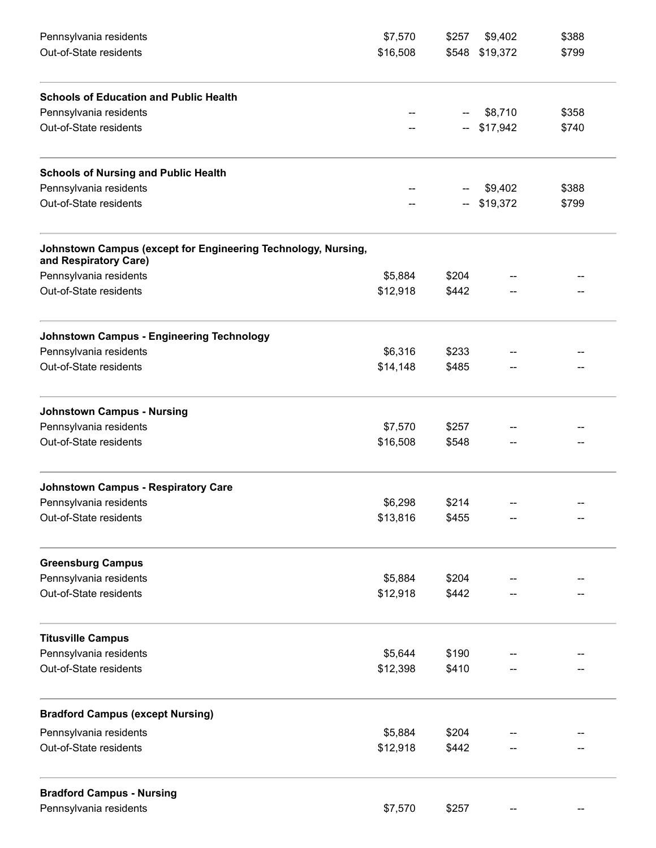| Pennsylvania residents                                                                 | \$7,570  | \$257 | \$9,402        | \$388 |
|----------------------------------------------------------------------------------------|----------|-------|----------------|-------|
| Out-of-State residents                                                                 | \$16,508 |       | \$548 \$19,372 | \$799 |
| <b>Schools of Education and Public Health</b>                                          |          |       |                |       |
| Pennsylvania residents                                                                 |          |       | \$8,710        | \$358 |
| Out-of-State residents                                                                 |          | --    | \$17,942       | \$740 |
| <b>Schools of Nursing and Public Health</b>                                            |          |       |                |       |
| Pennsylvania residents                                                                 |          |       | \$9,402        | \$388 |
| Out-of-State residents                                                                 |          |       | \$19,372       | \$799 |
| Johnstown Campus (except for Engineering Technology, Nursing,<br>and Respiratory Care) |          |       |                |       |
| Pennsylvania residents                                                                 | \$5,884  | \$204 |                |       |
| Out-of-State residents                                                                 | \$12,918 | \$442 |                |       |
| <b>Johnstown Campus - Engineering Technology</b>                                       |          |       |                |       |
| Pennsylvania residents                                                                 | \$6,316  | \$233 |                |       |
| Out-of-State residents                                                                 | \$14,148 | \$485 |                |       |
| <b>Johnstown Campus - Nursing</b>                                                      |          |       |                |       |
| Pennsylvania residents                                                                 | \$7,570  | \$257 |                |       |
| Out-of-State residents                                                                 | \$16,508 | \$548 |                |       |
| <b>Johnstown Campus - Respiratory Care</b>                                             |          |       |                |       |
| Pennsylvania residents                                                                 | \$6,298  | \$214 |                |       |
| Out-of-State residents                                                                 | \$13,816 | \$455 |                |       |
| <b>Greensburg Campus</b>                                                               |          |       |                |       |
| Pennsylvania residents                                                                 | \$5,884  | \$204 |                |       |
| Out-of-State residents                                                                 | \$12,918 | \$442 |                |       |
| <b>Titusville Campus</b>                                                               |          |       |                |       |
| Pennsylvania residents                                                                 | \$5,644  | \$190 |                |       |
| Out-of-State residents                                                                 | \$12,398 | \$410 |                |       |
| <b>Bradford Campus (except Nursing)</b>                                                |          |       |                |       |
| Pennsylvania residents                                                                 | \$5,884  | \$204 |                |       |
| Out-of-State residents                                                                 | \$12,918 | \$442 |                |       |
| <b>Bradford Campus - Nursing</b>                                                       |          |       |                |       |
| Pennsylvania residents                                                                 | \$7,570  | \$257 |                |       |